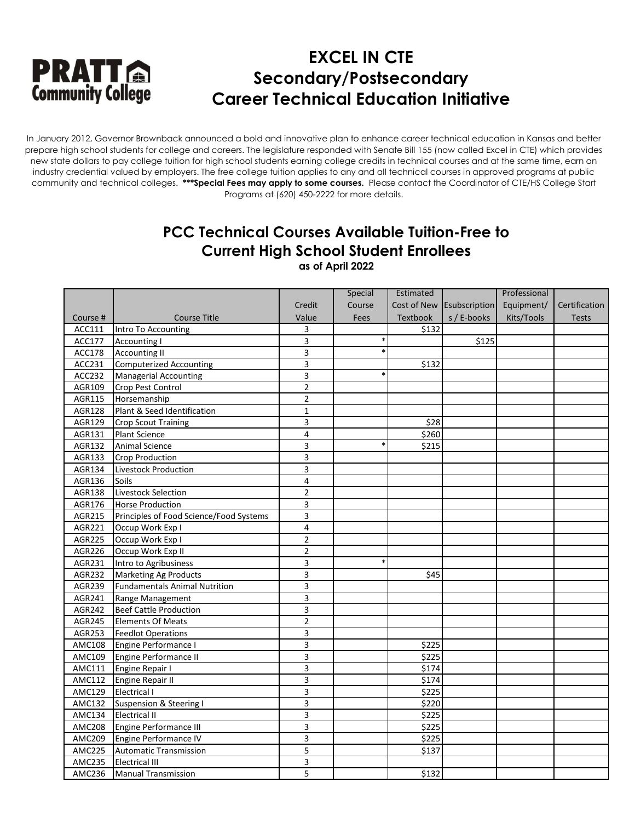

In January 2012, Governor Brownback announced a bold and innovative plan to enhance career technical education in Kansas and better prepare high school students for college and careers. The legislature responded with Senate Bill 155 (now called Excel in CTE) which provides new state dollars to pay college tuition for high school students earning college credits in technical courses and at the same time, earn an industry credential valued by employers. The free college tuition applies to any and all technical courses in approved programs at public community and technical colleges. **\*\*\*Special Fees may apply to some courses.** Please contact the Coordinator of CTE/HS College Start Programs at (620) 450-2222 for more details.

### **PCC Technical Courses Available Tuition-Free to Current High School Student Enrollees**

**as of April 2022**

|               |                                         |                | Special     | Estimated |                           | Professional |               |
|---------------|-----------------------------------------|----------------|-------------|-----------|---------------------------|--------------|---------------|
|               |                                         | Credit         | Course      |           | Cost of New Esubscription | Equipment/   | Certification |
| Course #      | <b>Course Title</b>                     | Value          | <b>Fees</b> | Textbook  | s / E-books               | Kits/Tools   | <b>Tests</b>  |
| ACC111        | Intro To Accounting                     | 3              |             | \$132     |                           |              |               |
| ACC177        | <b>Accounting I</b>                     | 3              |             |           | \$125                     |              |               |
| <b>ACC178</b> | <b>Accounting II</b>                    | 3              | $\ast$      |           |                           |              |               |
| ACC231        | <b>Computerized Accounting</b>          | 3              |             | \$132     |                           |              |               |
| ACC232        | <b>Managerial Accounting</b>            | 3              | $\ast$      |           |                           |              |               |
| AGR109        | Crop Pest Control                       | $\overline{c}$ |             |           |                           |              |               |
| AGR115        | Horsemanship                            | $\overline{2}$ |             |           |                           |              |               |
| AGR128        | Plant & Seed Identification             | $\mathbf 1$    |             |           |                           |              |               |
| AGR129        | <b>Crop Scout Training</b>              | 3              |             | \$28      |                           |              |               |
| AGR131        | Plant Science                           | 4              |             | \$260     |                           |              |               |
| AGR132        | <b>Animal Science</b>                   | 3              |             | \$215     |                           |              |               |
| AGR133        | Crop Production                         | 3              |             |           |                           |              |               |
| AGR134        | Livestock Production                    | 3              |             |           |                           |              |               |
| AGR136        | Soils                                   | 4              |             |           |                           |              |               |
| AGR138        | Livestock Selection                     | $\overline{2}$ |             |           |                           |              |               |
| AGR176        | <b>Horse Production</b>                 | 3              |             |           |                           |              |               |
| AGR215        | Principles of Food Science/Food Systems | 3              |             |           |                           |              |               |
| AGR221        | Occup Work Exp I                        | 4              |             |           |                           |              |               |
| AGR225        | Occup Work Exp I                        | $\overline{2}$ |             |           |                           |              |               |
| AGR226        | Occup Work Exp II                       | $\overline{2}$ |             |           |                           |              |               |
| AGR231        | Intro to Agribusiness                   | 3              | $\ast$      |           |                           |              |               |
| AGR232        | <b>Marketing Ag Products</b>            | 3              |             | \$45      |                           |              |               |
| AGR239        | <b>Fundamentals Animal Nutrition</b>    | 3              |             |           |                           |              |               |
| AGR241        | Range Management                        | 3              |             |           |                           |              |               |
| AGR242        | <b>Beef Cattle Production</b>           | 3              |             |           |                           |              |               |
| AGR245        | <b>Elements Of Meats</b>                | $\overline{2}$ |             |           |                           |              |               |
| AGR253        | <b>Feedlot Operations</b>               | 3              |             |           |                           |              |               |
| <b>AMC108</b> | Engine Performance I                    | 3              |             | \$225     |                           |              |               |
| AMC109        | Engine Performance II                   | 3              |             | \$225     |                           |              |               |
| AMC111        | Engine Repair I                         | 3              |             | \$174     |                           |              |               |
| <b>AMC112</b> | <b>Engine Repair II</b>                 | 3              |             | \$174     |                           |              |               |
| <b>AMC129</b> | Electrical I                            | 3              |             | \$225     |                           |              |               |
| AMC132        | <b>Suspension &amp; Steering I</b>      | 3              |             | \$220     |                           |              |               |
| AMC134        | <b>Electrical II</b>                    | 3              |             | \$225     |                           |              |               |
| <b>AMC208</b> | Engine Performance III                  | 3              |             | \$225     |                           |              |               |
| AMC209        | Engine Performance IV                   | 3              |             | \$225     |                           |              |               |
| <b>AMC225</b> | <b>Automatic Transmission</b>           | $\overline{5}$ |             | \$137     |                           |              |               |
| <b>AMC235</b> | <b>Electrical III</b>                   | 3              |             |           |                           |              |               |
| AMC236        | <b>Manual Transmission</b>              | 5              |             | \$132     |                           |              |               |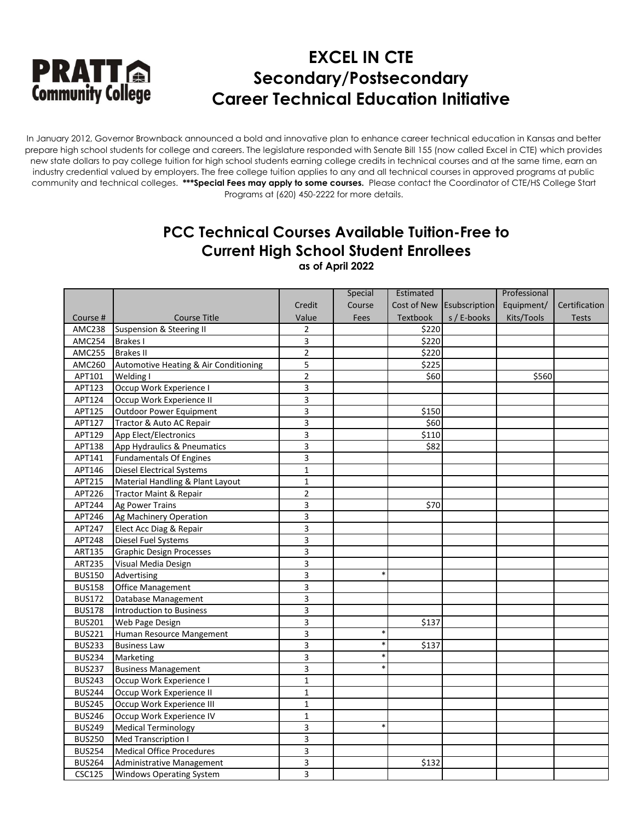

In January 2012, Governor Brownback announced a bold and innovative plan to enhance career technical education in Kansas and better prepare high school students for college and careers. The legislature responded with Senate Bill 155 (now called Excel in CTE) which provides new state dollars to pay college tuition for high school students earning college credits in technical courses and at the same time, earn an industry credential valued by employers. The free college tuition applies to any and all technical courses in approved programs at public community and technical colleges. **\*\*\*Special Fees may apply to some courses.** Please contact the Coordinator of CTE/HS College Start Programs at (620) 450-2222 for more details.

### **PCC Technical Courses Available Tuition-Free to Current High School Student Enrollees**

**as of April 2022**

|               |                                       |                | Special | Estimated   |               | Professional |               |
|---------------|---------------------------------------|----------------|---------|-------------|---------------|--------------|---------------|
|               |                                       | Credit         | Course  | Cost of New | Esubscription | Equipment/   | Certification |
| Course #      | <b>Course Title</b>                   | Value          | Fees    | Textbook    | s / E-books   | Kits/Tools   | <b>Tests</b>  |
| <b>AMC238</b> | <b>Suspension &amp; Steering II</b>   | $\overline{2}$ |         | \$220       |               |              |               |
| <b>AMC254</b> | <b>Brakes I</b>                       | 3              |         | \$220       |               |              |               |
| <b>AMC255</b> | <b>Brakes II</b>                      | $\overline{2}$ |         | \$220       |               |              |               |
| AMC260        | Automotive Heating & Air Conditioning | 5              |         | \$225       |               |              |               |
| APT101        | Welding I                             | $\overline{2}$ |         | \$60        |               | \$560        |               |
| APT123        | Occup Work Experience I               | 3              |         |             |               |              |               |
| APT124        | Occup Work Experience II              | 3              |         |             |               |              |               |
| APT125        | <b>Outdoor Power Equipment</b>        | 3              |         | \$150       |               |              |               |
| APT127        | Tractor & Auto AC Repair              | 3              |         | \$60        |               |              |               |
| APT129        | App Elect/Electronics                 | 3              |         | \$110       |               |              |               |
| APT138        | App Hydraulics & Pneumatics           | 3              |         | \$82        |               |              |               |
| APT141        | <b>Fundamentals Of Engines</b>        | 3              |         |             |               |              |               |
| APT146        | <b>Diesel Electrical Systems</b>      | $\mathbf{1}$   |         |             |               |              |               |
| APT215        | Material Handling & Plant Layout      | $\mathbf{1}$   |         |             |               |              |               |
| APT226        | <b>Tractor Maint &amp; Repair</b>     | $\mathbf 2$    |         |             |               |              |               |
| APT244        | Ag Power Trains                       | 3              |         | \$70        |               |              |               |
| APT246        | Ag Machinery Operation                | 3              |         |             |               |              |               |
| APT247        | Elect Acc Diag & Repair               | 3              |         |             |               |              |               |
| APT248        | Diesel Fuel Systems                   | 3              |         |             |               |              |               |
| ART135        | <b>Graphic Design Processes</b>       | 3              |         |             |               |              |               |
| <b>ART235</b> | Visual Media Design                   | 3              |         |             |               |              |               |
| <b>BUS150</b> | Advertising                           | 3              | $\ast$  |             |               |              |               |
| <b>BUS158</b> | <b>Office Management</b>              | 3              |         |             |               |              |               |
| <b>BUS172</b> | Database Management                   | 3              |         |             |               |              |               |
| <b>BUS178</b> | <b>Introduction to Business</b>       | 3              |         |             |               |              |               |
| <b>BUS201</b> | Web Page Design                       | 3              |         | \$137       |               |              |               |
| <b>BUS221</b> | Human Resource Mangement              | 3              | $\ast$  |             |               |              |               |
| <b>BUS233</b> | <b>Business Law</b>                   | 3              | *       | \$137       |               |              |               |
| <b>BUS234</b> | Marketing                             | 3              | $\ast$  |             |               |              |               |
| <b>BUS237</b> | <b>Business Management</b>            | 3              | $\ast$  |             |               |              |               |
| <b>BUS243</b> | Occup Work Experience I               | $\mathbf 1$    |         |             |               |              |               |
| <b>BUS244</b> | Occup Work Experience II              | $\mathbf 1$    |         |             |               |              |               |
| <b>BUS245</b> | Occup Work Experience III             | $\mathbf 1$    |         |             |               |              |               |
| <b>BUS246</b> | Occup Work Experience IV              | $\mathbf 1$    |         |             |               |              |               |
| <b>BUS249</b> | Medical Terminology                   | 3              | *       |             |               |              |               |
| <b>BUS250</b> | Med Transcription I                   | 3              |         |             |               |              |               |
| <b>BUS254</b> | <b>Medical Office Procedures</b>      | 3              |         |             |               |              |               |
| <b>BUS264</b> | Administrative Management             | 3              |         | \$132       |               |              |               |
| <b>CSC125</b> | <b>Windows Operating System</b>       | 3              |         |             |               |              |               |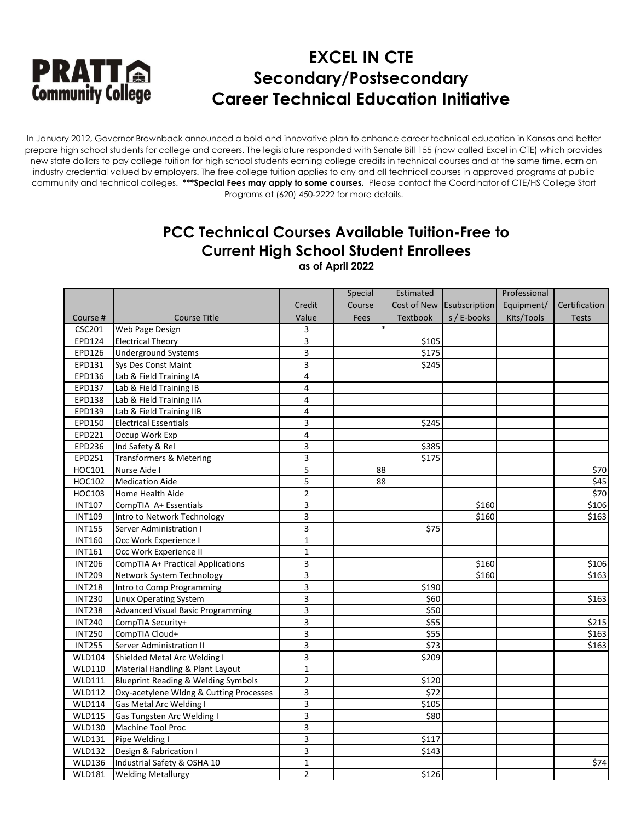

In January 2012, Governor Brownback announced a bold and innovative plan to enhance career technical education in Kansas and better prepare high school students for college and careers. The legislature responded with Senate Bill 155 (now called Excel in CTE) which provides new state dollars to pay college tuition for high school students earning college credits in technical courses and at the same time, earn an industry credential valued by employers. The free college tuition applies to any and all technical courses in approved programs at public community and technical colleges. **\*\*\*Special Fees may apply to some courses.** Please contact the Coordinator of CTE/HS College Start Programs at (620) 450-2222 for more details.

### **PCC Technical Courses Available Tuition-Free to Current High School Student Enrollees**

**as of April 2022**

|               |                                          |                         | Special | Estimated       |               | Professional |               |
|---------------|------------------------------------------|-------------------------|---------|-----------------|---------------|--------------|---------------|
|               |                                          | Credit                  | Course  | Cost of New     | Esubscription | Equipment/   | Certification |
| Course #      | <b>Course Title</b>                      | Value                   | Fees    | <b>Textbook</b> | s / E-books   | Kits/Tools   | <b>Tests</b>  |
| CSC201        | Web Page Design                          | 3                       |         |                 |               |              |               |
| EPD124        | <b>Electrical Theory</b>                 | $\overline{3}$          |         | \$105           |               |              |               |
| EPD126        | <b>Underground Systems</b>               | 3                       |         | \$175           |               |              |               |
| EPD131        | Sys Des Const Maint                      | 3                       |         | \$245           |               |              |               |
| EPD136        | Lab & Field Training IA                  | $\overline{\mathbf{4}}$ |         |                 |               |              |               |
| EPD137        | Lab & Field Training IB                  | $\overline{\mathbf{4}}$ |         |                 |               |              |               |
| EPD138        | Lab & Field Training IIA                 | $\overline{4}$          |         |                 |               |              |               |
| EPD139        | Lab & Field Training IIB                 | $\overline{4}$          |         |                 |               |              |               |
| EPD150        | <b>Electrical Essentials</b>             | 3                       |         | \$245           |               |              |               |
| EPD221        | Occup Work Exp                           | $\overline{4}$          |         |                 |               |              |               |
| EPD236        | Ind Safety & Rel                         | 3                       |         | \$385           |               |              |               |
| EPD251        | Transformers & Metering                  | 3                       |         | \$175           |               |              |               |
| HOC101        | Nurse Aide I                             | 5                       | 88      |                 |               |              | \$70          |
| HOC102        | <b>Medication Aide</b>                   | 5                       | 88      |                 |               |              | \$45          |
| HOC103        | Home Health Aide                         | $\overline{2}$          |         |                 |               |              | \$70          |
| <b>INT107</b> | CompTIA A+ Essentials                    | 3                       |         |                 | \$160         |              | \$106         |
| <b>INT109</b> | Intro to Network Technology              | 3                       |         |                 | \$160         |              | \$163         |
| <b>INT155</b> | Server Administration I                  | 3                       |         | \$75            |               |              |               |
| <b>INT160</b> | Occ Work Experience I                    | $\mathbf 1$             |         |                 |               |              |               |
| <b>INT161</b> | Occ Work Experience II                   | $\mathbf{1}$            |         |                 |               |              |               |
| <b>INT206</b> | <b>CompTIA A+ Practical Applications</b> | 3                       |         |                 | \$160         |              | \$106         |
| <b>INT209</b> | Network System Technology                | 3                       |         |                 | \$160         |              | \$163         |
| <b>INT218</b> | Intro to Comp Programming                | 3                       |         | \$190           |               |              |               |
| <b>INT230</b> | Linux Operating System                   | $\overline{\mathbf{3}}$ |         | \$60            |               |              | \$163         |
| <b>INT238</b> | <b>Advanced Visual Basic Programming</b> | 3                       |         | \$50            |               |              |               |
| <b>INT240</b> | CompTIA Security+                        | 3                       |         | \$55            |               |              | \$215         |
| <b>INT250</b> | CompTIA Cloud+                           | 3                       |         | \$55            |               |              | \$163         |
| <b>INT255</b> | Server Administration II                 | 3                       |         | \$73            |               |              | \$163         |
| <b>WLD104</b> | Shielded Metal Arc Welding I             | $\overline{3}$          |         | \$209           |               |              |               |
| <b>WLD110</b> | Material Handling & Plant Layout         | $\mathbf 1$             |         |                 |               |              |               |
| <b>WLD111</b> | Blueprint Reading & Welding Symbols      | $\overline{2}$          |         | \$120           |               |              |               |
| <b>WLD112</b> | Oxy-acetylene Wldng & Cutting Processes  | 3                       |         | \$72            |               |              |               |
| <b>WLD114</b> | Gas Metal Arc Welding I                  | 3                       |         | \$105           |               |              |               |
| <b>WLD115</b> | Gas Tungsten Arc Welding I               | 3                       |         | \$80            |               |              |               |
| <b>WLD130</b> | Machine Tool Proc                        | 3                       |         |                 |               |              |               |
| <b>WLD131</b> | Pipe Welding I                           | 3                       |         | \$117           |               |              |               |
| <b>WLD132</b> | Design & Fabrication I                   | 3                       |         | \$143           |               |              |               |
| <b>WLD136</b> | Industrial Safety & OSHA 10              | $\mathbf 1$             |         |                 |               |              | \$74          |
| <b>WLD181</b> | <b>Welding Metallurgy</b>                | $\overline{2}$          |         | \$126           |               |              |               |